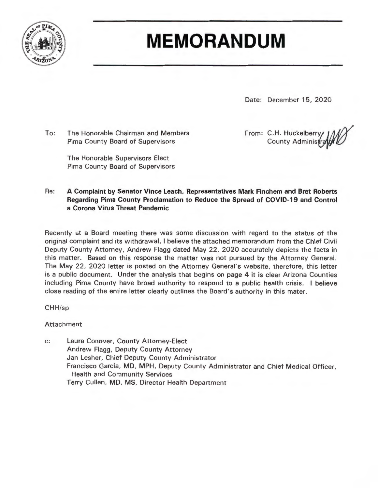

# **MEMORANDUM**

Date: December 15, 2020

To: The Honorable Chairman and Members Pima County Board of Supervisors

> The Honorable Supervisors Elect Pima County Board of Supervisors

From: C.H. Huckelberry **County Administ** 

Re: **A Complaint by Senator Vince Leach, Representatives Mark Finchem and Bret Roberts Regarding Pima County Proclamation to Reduce the Spread of COVID-19 and Control a Corona Virus Threat Pandemic** 

Recently at a Board meeting there was some discussion with regard to the status of the original complaint and its withdrawal , I believe the attached memorandum from the Chief Civil Deputy County Attorney, Andrew Flagg dated May 22, 2020 accurately depicts the facts in this matter. Based on this response the matter was not pursued by the Attorney General. The May 22, 2020 letter is posted on the Attorney General's website, therefore, this letter is a public document. Under the analysis that begins on page 4 it is clear Arizona Counties including Pima County have broad authority to respond to a public health crisis. I believe close reading of the entire letter clearly outlines the Board' s authority in this mater.

CHH/sp

Attachment

c: Laura Conover, County Attorney-Elect Andrew Flagg, Deputy County Attorney Jan Lesher, Chief Deputy County Administrator Francisco Garcia, MD, **MPH,** Deputy County Administrator and Chief Medical Officer, Health and Community Services Terry Cullen, MD, MS, Director Health Department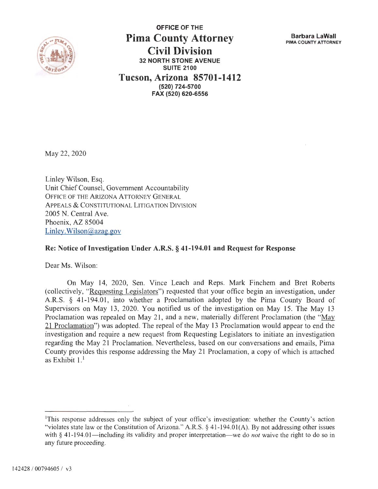

**OFFICE OF THE Pima County Attorney Civil Division 32 NORTH STONE AVENUE SUITE 2100 Tucson, Arizona 85701-1412 (520) 724-5700 FAX (520) 620-6556** 

**Barbara LaWall PIMA COUNTY ATTORNEY** 

May 22, 2020

Linley Wilson, Esq. Unit Chief Counsel, Government Accountability OFFICE OF THE ARIZONA ATTORNEY GENERAL APPEALS & CONSTITUTIONAL LITIGATION DIVISION 2005 N. Central Ave. Phoenix, AZ 85004 Linley. Wilson@azag.gov

#### **Re: Notice of Investigation Under A.R.S.** § **41-194.01 and Request for Response**

Dear Ms. Wilson:

On May 14, 2020, Sen. Vince Leach and Reps. Mark Finchem and Bret Roberts ( collectively, "Requesting Legislators") requested that your office begin an investigation, under A.R.S. § 41-194.01, into whether a Proclamation adopted by the Pima County Board of Supervisors on May 13, 2020. You notified us of the investigation on May 15. The May 13 Proclamation was repealed on May 21, and a new, materially different Proclamation (the " $May$ 21 Proclamation") was adopted. The repeal of the May 13 Proclamation would appear to end the investigation and require a new request from Requesting Legislators to initiate an investigation regarding the May 21 Proclamation. Nevertheless, based on our conversations and emails, Pima County provides this response addressing the May 21 Proclamation, a copy of which is attached as Exhibit  $1<sup>1</sup>$ 

<sup>&</sup>lt;sup>1</sup>This response addresses only the subject of your office's investigation: whether the County's action "violates state law or the Constitution of Arizona." A.R.S. § 41-194.01(A). By not addressing other issues with § 41-194.01—including its validity and proper interpretation—we do *not* waive the right to do so in any future proceeding.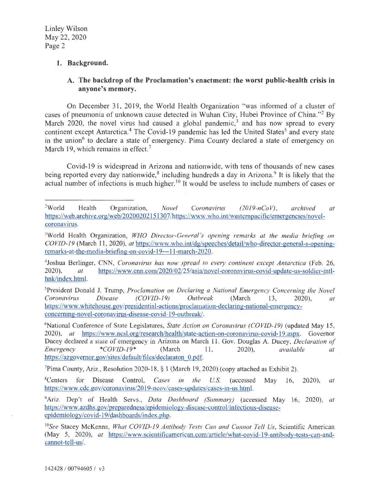### **1. Background.**

# **A. The backdrop of the Proclamation's enactment: the worst public-health crisis in anyone's memory.**

On December 31, 2019, the World Health Organization "was informed of a cluster of cases of pneumonia of unknown cause detected in Wuhan City, Hubei Province of China."<sup>2</sup> By March  $2020$ , the novel virus had caused a global pandemic,<sup>3</sup> and has now spread to every continent except Antarctica.<sup>4</sup> The Covid-19 pandemic has led the United States<sup>5</sup> and every state in the union<sup> $6$ </sup> to declare a state of emergency. Pima County declared a state of emergency on March 19, which remains in effect.<sup>7</sup>

Covid-19 is widespread in Arizona and nationwide, with tens of thousands of new cases being reported every day nationwide,<sup>8</sup> including hundreds a day in Arizona.<sup>9</sup> It is likely that the actual number of infections is much higher. 10 It would be useless to include numbers of cases or

7 Pima County, Ariz., Resolution 2020-18, § 1 (March 19, 2020) (copy attached as Exhibit 2).

 $2$ World World Health Organization, *Novel Coronavirus (2019-nCoV), archived at*  https://web.archive.org/web/20200202151307/https://www.who.int/westernpacific/emergencies/novelcoronavirus.

<sup>3</sup>World Health Organization, *WHO Director-General's opening remarks at the media briefing on*  CO *VID-19* (March 11 , 2020), *at* https://www.who.int/dg/speeches/detail/who-director-general-s-openingremarks-at-the-media-briefing-on-covid-19---l l -march-2020.

<sup>4</sup> Joshua Berlinger, CNN, *Coronavirus has now spread to every continent except Antarctica* (Feb. 26, 2020), · *at* https://www.cnn.com/2020/02/25/asia/novel-coronavirus-covid-update-us-soldier-intlhnk/index.html.

<sup>5</sup> President Donald J. Trump, *Proclamation on Declaring a National Emergency Concerning the Novel Coronavirus Disease (COVJD-19) Outbreak* (March 13, 2020), *at*  https://www.whitehouse.gov/presidential-actions/proclamation-declaring-national-emergencyconceming-novel-coronavirus-disease-covid-19-outbreak/.

<sup>6</sup> National Conference of State Legislatures, *State Action on Coronavirus (COVID-19)* (updated May 15, 2020), *at* https://www.ncsl.org/research/health/state-action-on-coronavirus-covid-19.aspx. Governor Ducey declared a state of emergency in Arizona on March 11. Gov. Douglas A. Ducey, *Declaration of*<br>
<u>*Emergency* \* *COVID-19*\* (March 11. 2020), *available at*</u> *Emergency* \*COVID-19\* (March 11, 2020), *available at* https://azgovemor.gov/sites/default/files/declaraton 0.pdf.

<sup>&</sup>lt;sup>8</sup>Centers for Disease Control. Cases in the U.S. (accessed May 16, 2020), *at* https :/ /www.cdc.gov/coronavirus/2019-ncov /cases-updates/cases-in-us.html.

<sup>9</sup>Ariz. Dep't of Health Servs., *Data Dashboard (Summary)* (accessed May 16, 2020), *at*  https://www.azdhs.gov/preparedness/epidemiology-disease-control/infectious-diseaseepidemiology/covid-19/dashboards/index.php.

<sup>10</sup>*See* Stacey McKenna, *What COVID-19 Antibody Tests Can and Cannot Tell Us,* Scientific American (May 5, 2020), *at* https://www.scientificamerican.com/article/what-covid-19-antibody-tests-can-andcannot-tell-us/.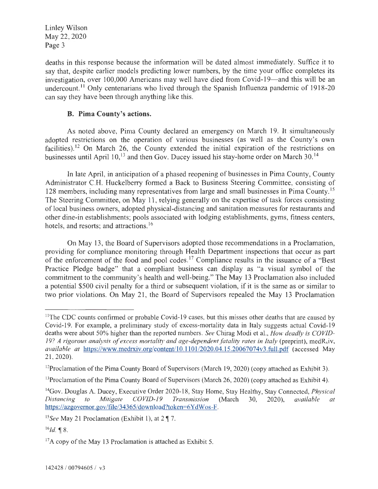deaths in this response because the information will be dated almost immediately. Suffice it to say that, despite earlier models predicting lower numbers, by the time your office completes its investigation, over 100,000 Americans may well have died from Covid-19—and this will be an undercount.<sup>11</sup> Only centenarians who lived through the Spanish Influenza pandemic of 1918-20 can say they have been through anything like this.

### **B. Pima County's actions.**

As noted above, Pima County declared an emergency on March 19. It simultaneously adopted restrictions on the operation of various businesses (as well as the County's own facilities).<sup>12</sup> On March 26, the County extended the initial expiration of the restrictions on businesses until April 10,<sup>13</sup> and then Gov. Ducey issued his stay-home order on March 30.<sup>14</sup>

ln late April, in anticipation of a phased reopening of businesses in Pima County, County Administrator C.H. Huckelberry formed a Back to Business Steering Committee, consisting of 128 members, including many representatives from large and small businesses in Pima County.<sup>15</sup> The Steering Committee, on May 11, relying generally on the expertise of task forces consisting oflocal business owners, adopted physical-distancing and sanitation measures for restaurants and other dine-in establishments; pools associated with lodging establishments, gyms, fitness centers, hotels, and resorts; and attractions.<sup>16</sup>

On May 13, the Board of Supervisors adopted those recommendations in a Proclamation, providing for compliance monitoring through Health Department inspections that occur as part of the enforcement of the food and pool codes.<sup>17</sup> Compliance results in the issuance of a "Best" Practice Pledge badge" that a compliant business can display as "a visual symbol of the commitment to the community's health and well-being." The May 13 Proclamation also included a potential \$500 civil penalty for a third or subsequent violation, if it is the same as or similar to two prior violations. On May 21, the Board of Supervisors repealed the May 13 Proclamation

<sup>&</sup>lt;sup>11</sup>The CDC counts confirmed or probable Covid-19 cases, but this misses other deaths that are caused by Covid-19. For example, a preliminary study of excess-mortality data in Italy suggests actual Covid-19 deaths were about 50% higher than the reported numbers. *See* Chirag Modi et al., *How deadly* is *COVJD-*19? A rigorous analysis of excess mortality and age-dependent fatality rates in Italy (preprint), medR<sub>x</sub>iv, *available at* https://www.medrxiv.org/content/ l0.l l0 1/2020.04.15.20067074v3.full.pdf (accessed May 21 , 2020).

<sup>&</sup>lt;sup>12</sup> Proclamation of the Pima County Board of Supervisors (March 19, 2020) (copy attached as Exhibit 3).

<sup>&</sup>lt;sup>13</sup>Proclamation of the Pima County Board of Supervisors (March 26, 2020) (copy attached as Exhibit 4).

<sup>14</sup>Gov. Douglas A. Ducey, Executive Order 2020-18, Stay Home, Stay Healthy, Stay Connected, *Physical Distancing to Mitigate COVID-19 Transmission* (March 30, 2020), *available at*  https://azgovernor.gov/file/34365/download?token=6YdWos-F.

<sup>&</sup>lt;sup>15</sup>See May 21 Proclamation (Exhibit 1), at 2 ¶ 7.

 $^{16}Id.$  ¶ 8.

<sup>&</sup>lt;sup>17</sup>A copy of the May 13 Proclamation is attached as Exhibit 5.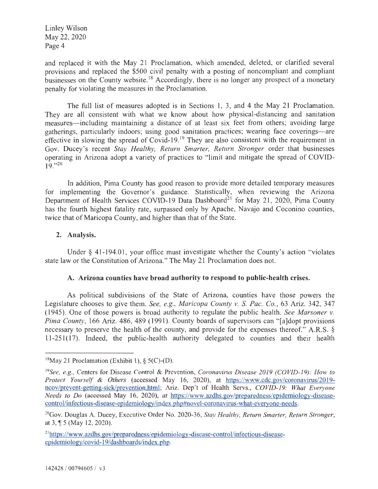and replaced it with the May 21 Proclamation, which amended, deleted, or clarified several provisions and replaced the \$500 civil penalty with a posting of noncompliant and compliant businesses on the County website.<sup>18</sup> Accordingly, there is no longer any prospect of a monetary penalty for violating the measures in the Proclamation.

The full list of measures adopted is in Sections 1, 3, and 4 the May 21 Proclamation. They are all consistent with what we know about how physical-distancing and sanitation measures—including maintaining a distance of at least six feet from others; avoiding large gatherings, particularly indoors; using good sanitation practices; wearing face coverings-are effective in slowing the spread of Covid-19.<sup>19</sup> They are also consistent with the requirement in Gov. Ducey's recent *Stay Healthy, Return Smarter, Return Stronger* order that businesses operating in Arizona adopt a variety of practices to "limit and mitigate the spread of COVID- $19.$ "<sup>20</sup>

In addition, Pima County has good reason to provide more detailed temporary measures for implementing the Governor's guidance. Statistically, when reviewing the Arizona Department of Health Services COVID-19 Data Dashboard<sup>21</sup> for May 21, 2020, Pima County has the fourth highest fatality rate, surpassed only by Apache, Navajo and Coconino counties, twice that of Maricopa County, and higher than that of the State.

# **2. Analysis.**

Under § 41-194.01, your office must investigate whether the County's action "violates" state law or the Constitution of Arizona." The May 21 Proclamation does not.

#### **A. Arizona counties have broad authority to respond to public-health crises.**

As political subdivisions of the State of Arizona, counties have those powers the Legislature chooses to give them. *See, e.g., Maricopa County v.* S. *Pac. Co.,* 63 Ariz. 342, 347 (1945). One of those powers is broad authority to regulate the public health. *See Marsoner v. Pima County, 166 Ariz. 486, 489 (1991). County boards of supervisors can "[a]dopt provisions* necessary to preserve the health of the county, and provide for the expenses thereof." A.R.S. § 11-251 ( 17). Indeed, the public-health authority delegated to counties and their health

<sup>&</sup>lt;sup>18</sup>May 21 Proclamation (Exhibit 1),  $\S$  5(C)-(D).

<sup>19</sup> *See, e.g.,* Centers for Disease Control & Prevention, *Coronavirus Disease 2019 (COVID-19): How to Protect Yourself & Others* (accessed May 16, 2020), at https://www.cdc.gov/coronavirus/2019 ncov/prevent-getting-sick/prevention.html; Ariz. Dep't of Health Servs., *COVJD-19: What Everyone Needs to Do* (accessed May 16, 2020), *at* https://www.azdhs.gov/preparedness/epidemiology-diseasecontrol/infectious-disease-epidemiology/index.php#novel-coronavirus-what-everyone-needs.

<sup>20</sup>Gov. Douglas A. Ducey, Executive Order No. 2020-36, *Stay Healthy, Return Smarter, Return Stronger,*  at 3, **,i** 5 (May 12, 2020).

<sup>21</sup> https://www.azdhs.gov/preparedness/epidemiology-disease-control/infectious-diseaseepidemiology/covid-l9/dashboards/index.php.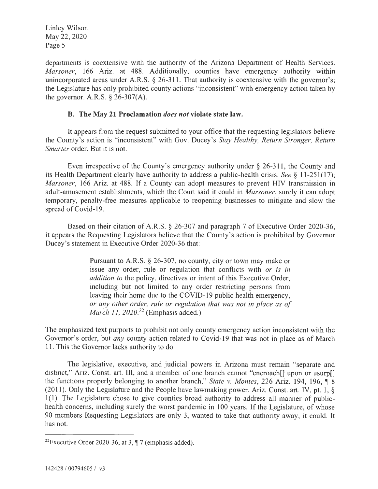departments is coextensive with the authority of the Arizona Department of Health Services. *Marsoner,* 166 Ariz. at 488. Additionally, counties have emergency authority within unincorporated areas under A.R.S.  $\S$  26-311. That authority is coextensive with the governor's; the Legislature has only prohibited county actions "inconsistent" with emergency action taken by the governor. A.R.S.  $\S$  26-307(A).

#### **B. The May 21 Proclamation** *does not* **violate state law.**

It appears from the request submitted to your office that the requesting legislators believe the County's action is "inconsistent" with Gov. Ducey's *Stay Healthy, Return Stronger, Return Smarter* order. But it is not.

Even irrespective of the County's emergency authority under § 26-311 , the County and its Health Department clearly have authority to address a public-health crisis. *See* § 11-251 (17); *Marsoner,* 166 Ariz. at 488. If a County can adopt measures to prevent HIV transmission in adult-amusement establishments, which the Court said it could in *Marsoner,* surely it can adopt temporary, penalty-free measures applicable to reopening businesses to mitigate and slow the spread of Covid-19.

Based on their citation of A.R.S. § 26-307 and paragraph 7 of Executive Order 2020-36, it appears the Requesting Legislators believe that the County's action is prohibited by Governor Ducey's statement in Executive Order 2020-36 that:

> Pursuant to A.RS. § 26-307, no county, city or town may make or issue any order, rule or regulation that conflicts with *or is in addition to* the policy, directives or intent of this Executive Order, including but not limited to any order restricting persons from leaving their home due to the COVID-19 public health emergency, *or any other order, rule or regulation that was not in place as of March 11, 2020.*<sup>22</sup> (Emphasis added.)

The emphasized text purports to prohibit not only county emergency action inconsistent with the Governor's order, but *any* county action related to Covid-19 that was not in place as of March 11. This the Governor lacks authority to do.

The legislative, executive, and judicial powers in Arizona must remain "separate and distinct," Ariz. Const. art. III, and a member of one branch cannot "encroach<sup>[]</sup> upon or usurp<sup>[]</sup> the functions properly belonging to another branch," *State v. Montes*, 226 Ariz. 194, 196, 18 (2011). Only the Legislature and the People have lawmaking power. Ariz. Const. art. IV, pt. 1, § 1(1). The Legislature chose to give counties broad authority to address all manner of publichealth concerns, including surely the worst pandemic in 100 years. If the Legislature, of whose 90 members Requesting Legislators are only 3, wanted to take that authority away, it could. It has not.

<sup>&</sup>lt;sup>22</sup>Executive Order 2020-36, at 3,  $\P$  7 (emphasis added).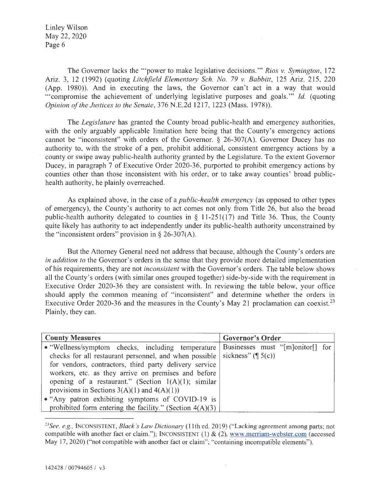The Governor lacks the "'power to make legislative decisions.'" *Rios v. Symington,* 172 Ariz. 3, 12 (1992) (quoting *Litchfield Elementary Sch. No. 79 v. Babbitt,* 125 Ariz. 215, 220 (App. 1980)). And in executing the laws, the Governor can't act in a way that would '" compromise the achievement of underlying legislative purposes and goals."' *Id.* ( quoting *Opinion of the Justices to the Senate,* 376 N.E.2d 1217, 1223 (Mass. 1978)).

The *Legislature* has granted the County broad public-health and emergency authorities, with the only arguably applicable limitation here being that the County's emergency actions cannot be "inconsistent" with orders of the Governor.  $\S$  26-307(A). Governor Ducey has no authority to, with the stroke of a pen, prohibit additional, consistent emergency actions by a county or swipe away public-health authority granted by the Legislature. To the extent Governor Ducey, in paragraph 7 of Executive Order 2020-36, purported to prohibit emergency actions by counties other than those inconsistent with his order, or to take away counties' broad publichealth authority, he plainly overreached.

As explained above, in the case of a *public-health emergency* (as opposed to other types of emergency), the County's authority to act comes not only from Title 26, but also the broad public-health authority delegated to counties in  $\S$  11-251(17) and Title 36. Thus, the County quite likely has authority to act independently under its public-health authority unconstrained by the "inconsistent orders" provision in  $\S$  26-307(A).

But the Attorney General need not address that because, although the County's orders are *in addition to* the Governor's orders in the sense that they provide more detailed implementation of his requirements, they are not *inconsistent* with the Governor's orders. The table below shows all the County's orders (with similar ones grouped together) side-by-side with the requirement in Executive Order 2020-36 they are consistent with. In reviewing the table below, your office should apply the common meaning of "inconsistent" and determine whether the orders in Executive Order 2020-36 and the measures in the County's May 21 proclamation can coexist.<sup>23</sup> Plainly, they can.

| <b>County Measures</b>                                       | <b>Governor's Order</b>          |
|--------------------------------------------------------------|----------------------------------|
| • "Wellness/symptom checks, including temperature            | Businesses must "[m]onitor[] for |
| checks for all restaurant personnel, and when possible       | sickness" $(\P 5(c))$            |
| for vendors, contractors, third party delivery service       |                                  |
| workers, etc. as they arrive on premises and before          |                                  |
| opening of a restaurant." (Section $1(A)(1)$ ; similar       |                                  |
| provisions in Sections $3(A)(1)$ and $4(A)(1)$ )             |                                  |
| • "Any patron exhibiting symptoms of COVID-19 is             |                                  |
| prohibited form entering the facility." (Section $4(A)(3)$ ) |                                  |

*<sup>23</sup> See, e.g. ,* INCONSISTENT, *Black 's Law Dictionary* (11th ed. 2019) ("Lacking agreement among parts; not compatible with another fact or claim."); INCONSISTENT (1) & (2), www.merriam-webster.com (accessed May 17, 2020) ("not compatible with another fact or claim"; "containing incompatible elements").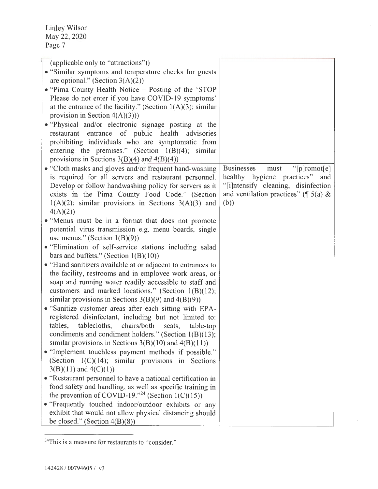| (applicable only to "attractions"))<br>• "Similar symptoms and temperature checks for guests"<br>are optional." (Section $3(A)(2)$ )<br>• "Pima County Health Notice – Posting of the 'STOP<br>Please do not enter if you have COVID-19 symptoms'<br>at the entrance of the facility." (Section $1(A)(3)$ ; similar<br>provision in Section $4(A)(3))$<br>• "Physical and/or electronic signage posting at the<br>restaurant entrance of public health<br>advisories<br>prohibiting individuals who are symptomatic from<br>entering the premises." (Section $1(B)(4)$ ; similar<br>provisions in Sections $3(B)(4)$ and $4(B)(4)$<br>• "Cloth masks and gloves and/or frequent hand-washing<br>is required for all servers and restaurant personnel.<br>Develop or follow handwashing policy for servers as it | <b>Businesses</b><br>"[p]romot[e]<br>must<br>healthy hygiene practices" and<br>"[i]ntensify cleaning, disinfection |
|-----------------------------------------------------------------------------------------------------------------------------------------------------------------------------------------------------------------------------------------------------------------------------------------------------------------------------------------------------------------------------------------------------------------------------------------------------------------------------------------------------------------------------------------------------------------------------------------------------------------------------------------------------------------------------------------------------------------------------------------------------------------------------------------------------------------|--------------------------------------------------------------------------------------------------------------------|
| exists in the Pima County Food Code." (Section<br>$1(A)(2)$ ; similar provisions in Sections $3(A)(3)$ and<br>4(A)(2))<br>• "Menus must be in a format that does not promote<br>potential virus transmission e.g. menu boards, single                                                                                                                                                                                                                                                                                                                                                                                                                                                                                                                                                                           | and ventilation practices" ( $\parallel$ 5(a) &<br>(b))                                                            |
| use menus." (Section $1(B)(9)$ )<br>• "Elimination of self-service stations including salad<br>bars and buffets." (Section $1(B)(10)$ )<br>• "Hand sanitizers available at or adjacent to entrances to<br>the facility, restrooms and in employee work areas, or                                                                                                                                                                                                                                                                                                                                                                                                                                                                                                                                                |                                                                                                                    |
| soap and running water readily accessible to staff and<br>customers and marked locations." (Section $1(B)(12)$ ;<br>similar provisions in Sections $3(B)(9)$ and $4(B)(9)$ )<br>• "Sanitize customer areas after each sitting with EPA-<br>registered disinfectant, including but not limited to:<br>tables, tablecloths, chairs/both seats,<br>table-top                                                                                                                                                                                                                                                                                                                                                                                                                                                       |                                                                                                                    |
| condiments and condiment holders." (Section 1(B)(13);<br>similar provisions in Sections $3(B)(10)$ and $4(B)(11)$ )<br>• "Implement touchless payment methods if possible."<br>(Section $1(C)(14)$ ; similar provisions in Sections<br>$3(B)(11)$ and $4(C)(1)$                                                                                                                                                                                                                                                                                                                                                                                                                                                                                                                                                 |                                                                                                                    |
| • "Restaurant personnel to have a national certification in<br>food safety and handling, as well as specific training in<br>the prevention of COVID-19." <sup>24</sup> (Section 1(C)(15))<br>• "Frequently touched indoor/outdoor exhibits or any<br>exhibit that would not allow physical distancing should<br>be closed." (Section $4(B)(8)$ )                                                                                                                                                                                                                                                                                                                                                                                                                                                                |                                                                                                                    |

<sup>24</sup>This is a measure for restaurants to "consider."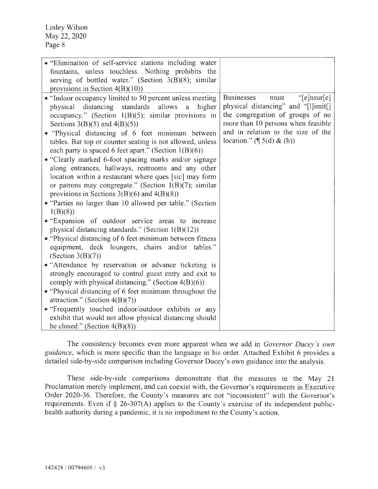| • "Elimination of self-service stations including water<br>fountains, unless touchless. Nothing prohibits the<br>serving of bottled water." (Section $3(B)(8)$ ; similar<br>provisions in Section $4(B)(10)$                                                                                                                                                                                                                                                                                                                                                                                                                                                                                                                                                      |                                                                                                                                                                                                                                         |
|-------------------------------------------------------------------------------------------------------------------------------------------------------------------------------------------------------------------------------------------------------------------------------------------------------------------------------------------------------------------------------------------------------------------------------------------------------------------------------------------------------------------------------------------------------------------------------------------------------------------------------------------------------------------------------------------------------------------------------------------------------------------|-----------------------------------------------------------------------------------------------------------------------------------------------------------------------------------------------------------------------------------------|
| • "Indoor occupancy limited to 50 percent unless meeting<br>distancing<br>standards allows<br>physical<br>higher<br>a<br>occupancy." (Section $1(B)(5)$ ; similar provisions in<br>Sections $3(B)(5)$ and $4(B)(5)$<br>• "Physical distancing of 6 feet minimum between<br>tables. Bar top or counter seating is not allowed, unless<br>each party is spaced 6 feet apart." (Section $1(B)(6)$ )<br>• "Clearly marked 6-foot spacing marks and/or signage<br>along entrances, hallways, restrooms and any other<br>location within a restaurant where ques [sic] may form<br>or patrons may congregate." (Section $1(B)(7)$ ; similar<br>provisions in Sections $3(B)(6)$ and $4(B)(8)$ )<br>• "Parties no larger than 10 allowed per table." (Section<br>1(B)(8) | <b>Businesses</b><br>" $[e]$ nsur $[e]$<br>must<br>physical distancing" and "[l]imit[]<br>the congregation of groups of no<br>more than 10 persons when feasible<br>and in relation to the size of the<br>location." $(\P 5(d) \& (h))$ |
| • "Expansion of outdoor service areas to increase<br>physical distancing standards." (Section 1(B)(12))                                                                                                                                                                                                                                                                                                                                                                                                                                                                                                                                                                                                                                                           |                                                                                                                                                                                                                                         |
| • "Physical distancing of 6 feet minimum between fitness"<br>equipment, deck loungers, chairs and/or tables."<br>(Section $3(B)(7)$ )                                                                                                                                                                                                                                                                                                                                                                                                                                                                                                                                                                                                                             |                                                                                                                                                                                                                                         |
| • "Attendance by reservation or advance ticketing is<br>strongly encouraged to control guest entry and exit to<br>comply with physical distancing." (Section $4(B)(6)$ )<br>• "Physical distancing of 6 feet minimum throughout the<br>attraction." (Section $4(B)(7)$ )                                                                                                                                                                                                                                                                                                                                                                                                                                                                                          |                                                                                                                                                                                                                                         |
| • "Frequently touched indoor/outdoor exhibits or any<br>exhibit that would not allow physical distancing should<br>be closed." (Section $4(B)(8)$ )                                                                                                                                                                                                                                                                                                                                                                                                                                                                                                                                                                                                               |                                                                                                                                                                                                                                         |

The consistency becomes even more apparent when we add in *Governor Ducey 's own guidance,* which is more specific than the language in his order. Attached Exhibit 6 provides a detailed side-by-side comparison including Governor Ducey's own guidance into the analysis.

These side-by-side comparisons demonstrate that the measures in the May 21 Proclamation merely implement, and can coexist with, the Governor's requirements in Executive Order 2020-36. Therefore, the County's measures are not "inconsistent" with the Governor's requirements. Even if  $\S$  26-307(A) applies to the County's exercise of its independent publichealth authority during a pandemic, it is no impediment to the County's action.